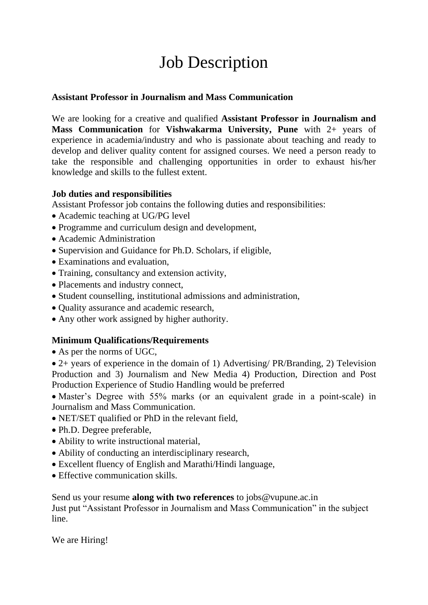## Job Description

## **Assistant Professor in Journalism and Mass Communication**

We are looking for a creative and qualified **Assistant Professor in Journalism and Mass Communication** for **Vishwakarma University, Pune** with 2+ years of experience in academia/industry and who is passionate about teaching and ready to develop and deliver quality content for assigned courses. We need a person ready to take the responsible and challenging opportunities in order to exhaust his/her knowledge and skills to the fullest extent.

## **Job duties and responsibilities**

Assistant Professor job contains the following duties and responsibilities:

- Academic teaching at UG/PG level
- Programme and curriculum design and development,
- Academic Administration
- Supervision and Guidance for Ph.D. Scholars, if eligible,
- Examinations and evaluation,
- Training, consultancy and extension activity,
- Placements and industry connect,
- Student counselling, institutional admissions and administration,
- Quality assurance and academic research,
- Any other work assigned by higher authority.

## **Minimum Qualifications/Requirements**

• As per the norms of UGC,

• 2+ years of experience in the domain of 1) Advertising/ PR/Branding, 2) Television Production and 3) Journalism and New Media 4) Production, Direction and Post Production Experience of Studio Handling would be preferred

• Master's Degree with 55% marks (or an equivalent grade in a point-scale) in Journalism and Mass Communication.

- NET/SET qualified or PhD in the relevant field,
- Ph.D. Degree preferable,
- Ability to write instructional material,
- Ability of conducting an interdisciplinary research,
- Excellent fluency of English and Marathi/Hindi language,
- Effective communication skills.

Send us your resume **along with two references** to jobs@vupune.ac.in Just put "Assistant Professor in Journalism and Mass Communication" in the subject line.

We are Hiring!